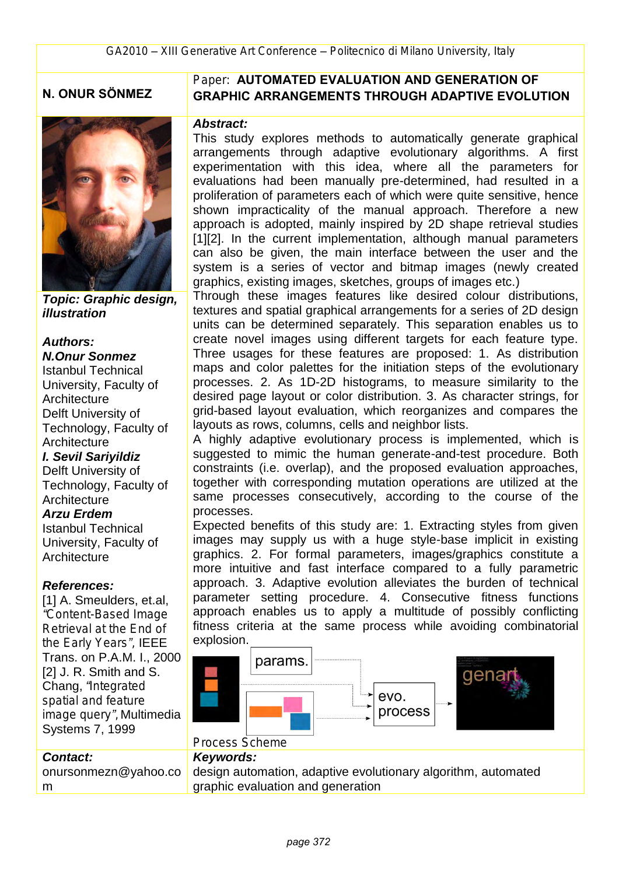## **N. ONUR SÖNMEZ**



*Topic: Graphic design, illustration*

### *Authors: N.Onur Sonmez*

Istanbul Technical University, Faculty of **Architecture** Delft University of Technology, Faculty of **Architecture** *I. Sevil Sariyildiz* Delft University of Technology, Faculty of **Architecture** *Arzu Erdem* Istanbul Technical University, Faculty of **Architecture** 

#### *References:*

[1] A. Smeulders, et.al. *"Content-Based Image Retrieval at the End of the Early Years",* IEEE Trans. on P.A.M. I., 2000 [2] J. R. Smith and S. Chang, *"Integrated spatial and feature image query",* Multimedia Systems 7, 1999

### *Contact:*

onursonmezn@yahoo.co m

### *Paper:* **AUTOMATED EVALUATION AND GENERATION OF GRAPHIC ARRANGEMENTS THROUGH ADAPTIVE EVOLUTION**

#### *Abstract:*

This study explores methods to automatically generate graphical arrangements through adaptive evolutionary algorithms. A first experimentation with this idea, where all the parameters for evaluations had been manually pre-determined, had resulted in a proliferation of parameters each of which were quite sensitive, hence shown impracticality of the manual approach. Therefore a new approach is adopted, mainly inspired by 2D shape retrieval studies [1][2]. In the current implementation, although manual parameters can also be given, the main interface between the user and the system is a series of vector and bitmap images (newly created graphics, existing images, sketches, groups of images etc.)

Through these images features like desired colour distributions, textures and spatial graphical arrangements for a series of 2D design units can be determined separately. This separation enables us to create novel images using different targets for each feature type. Three usages for these features are proposed: 1. As distribution maps and color palettes for the initiation steps of the evolutionary processes. 2. As 1D-2D histograms, to measure similarity to the desired page layout or color distribution. 3. As character strings, for grid-based layout evaluation, which reorganizes and compares the layouts as rows, columns, cells and neighbor lists.

A highly adaptive evolutionary process is implemented, which is suggested to mimic the human generate-and-test procedure. Both constraints (i.e. overlap), and the proposed evaluation approaches, together with corresponding mutation operations are utilized at the same processes consecutively, according to the course of the processes.

Expected benefits of this study are: 1. Extracting styles from given images may supply us with a huge style-base implicit in existing graphics. 2. For formal parameters, images/graphics constitute a more intuitive and fast interface compared to a fully parametric approach. 3. Adaptive evolution alleviates the burden of technical parameter setting procedure. 4. Consecutive fitness functions approach enables us to apply a multitude of possibly conflicting fitness criteria at the same process while avoiding combinatorial explosion.



### *Process Scheme*

#### *Keywords:*

design automation, adaptive evolutionary algorithm, automated graphic evaluation and generation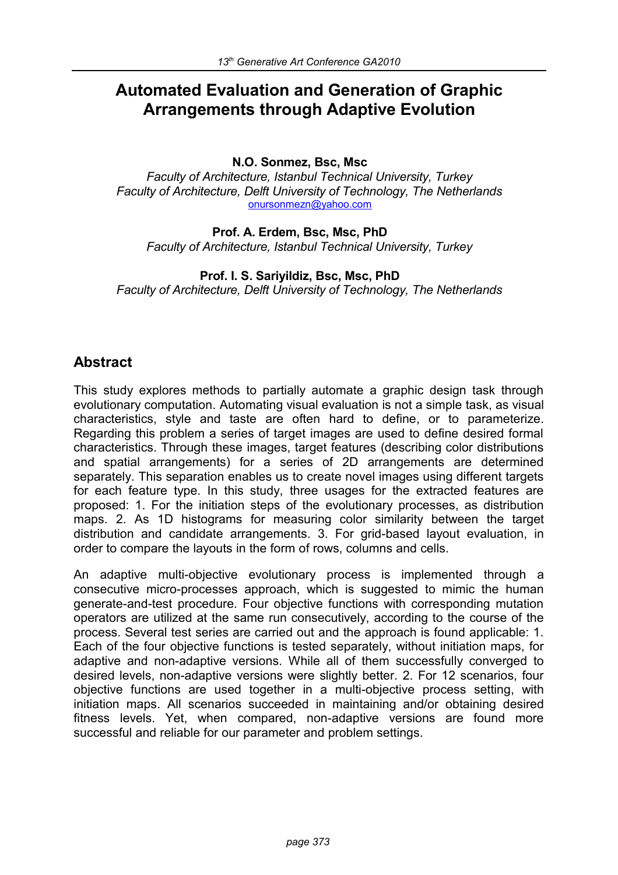# **Automated Evaluation and Generation of Graphic Arrangements through Adaptive Evolution**

### **N.O. Sonmez, Bsc, Msc**

*Faculty of Architecture, Istanbul Technical University, Turkey Faculty of Architecture, Delft University of Technology, The Netherlands* [onursonmezn@yahoo.com](mailto:onursonmezn@yahoo.com)

### **Prof. A. Erdem, Bsc, Msc, PhD**

*Faculty of Architecture, Istanbul Technical University, Turkey*

### **Prof. I. S. Sariyildiz, Bsc, Msc, PhD**

*Faculty of Architecture, Delft University of Technology, The Netherlands*

### **Abstract**

This study explores methods to partially automate a graphic design task through evolutionary computation. Automating visual evaluation is not a simple task, as visual characteristics, style and taste are often hard to define, or to parameterize. Regarding this problem a series of target images are used to define desired formal characteristics. Through these images, target features (describing color distributions and spatial arrangements) for a series of 2D arrangements are determined separately. This separation enables us to create novel images using different targets for each feature type. In this study, three usages for the extracted features are proposed: 1. For the initiation steps of the evolutionary processes, as distribution maps. 2. As 1D histograms for measuring color similarity between the target distribution and candidate arrangements. 3. For grid-based layout evaluation, in order to compare the layouts in the form of rows, columns and cells.

An adaptive multi-objective evolutionary process is implemented through a consecutive micro-processes approach, which is suggested to mimic the human generate-and-test procedure. Four objective functions with corresponding mutation operators are utilized at the same run consecutively, according to the course of the process. Several test series are carried out and the approach is found applicable: 1. Each of the four objective functions is tested separately, without initiation maps, for adaptive and non-adaptive versions. While all of them successfully converged to desired levels, non-adaptive versions were slightly better. 2. For 12 scenarios, four objective functions are used together in a multi-objective process setting, with initiation maps. All scenarios succeeded in maintaining and/or obtaining desired fitness levels. Yet, when compared, non-adaptive versions are found more successful and reliable for our parameter and problem settings.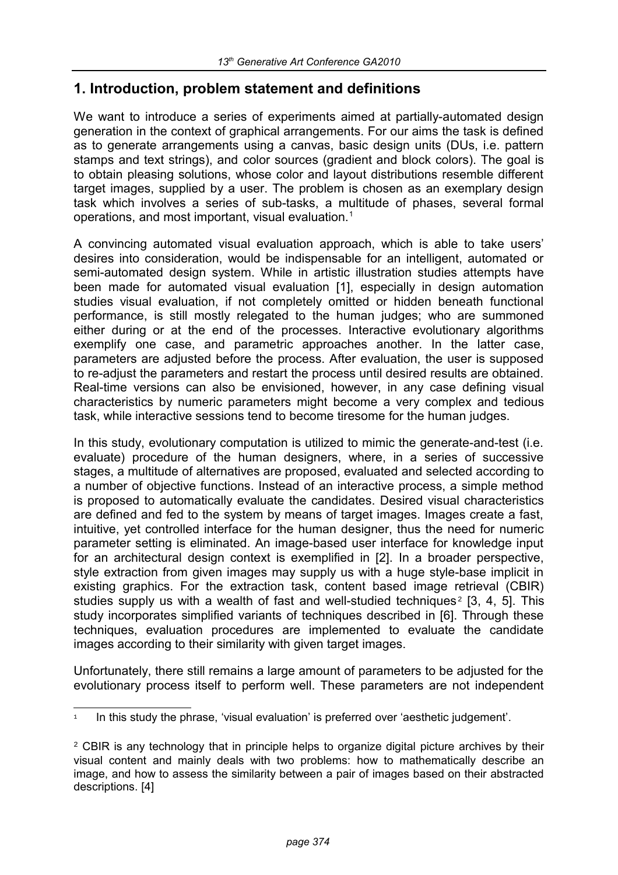### **1. Introduction, problem statement and definitions**

We want to introduce a series of experiments aimed at partially-automated design generation in the context of graphical arrangements. For our aims the task is defined as to generate arrangements using a canvas, basic design units (DUs, i.e. pattern stamps and text strings), and color sources (gradient and block colors). The goal is to obtain pleasing solutions, whose color and layout distributions resemble different target images, supplied by a user. The problem is chosen as an exemplary design task which involves a series of sub-tasks, a multitude of phases, several formal operations, and most important, visual evaluation.<sup>[1](#page-2-0)</sup>

A convincing automated visual evaluation approach, which is able to take users' desires into consideration, would be indispensable for an intelligent, automated or semi-automated design system. While in artistic illustration studies attempts have been made for automated visual evaluation [1], especially in design automation studies visual evaluation, if not completely omitted or hidden beneath functional performance, is still mostly relegated to the human judges; who are summoned either during or at the end of the processes. Interactive evolutionary algorithms exemplify one case, and parametric approaches another. In the latter case, parameters are adjusted before the process. After evaluation, the user is supposed to re-adjust the parameters and restart the process until desired results are obtained. Real-time versions can also be envisioned, however, in any case defining visual characteristics by numeric parameters might become a very complex and tedious task, while interactive sessions tend to become tiresome for the human judges.

In this study, evolutionary computation is utilized to mimic the generate-and-test (i.e. evaluate) procedure of the human designers, where, in a series of successive stages, a multitude of alternatives are proposed, evaluated and selected according to a number of objective functions. Instead of an interactive process, a simple method is proposed to automatically evaluate the candidates. Desired visual characteristics are defined and fed to the system by means of target images. Images create a fast, intuitive, yet controlled interface for the human designer, thus the need for numeric parameter setting is eliminated. An image-based user interface for knowledge input for an architectural design context is exemplified in [2]. In a broader perspective, style extraction from given images may supply us with a huge style-base implicit in existing graphics. For the extraction task, content based image retrieval (CBIR) studies supply us with a wealth of fast and well-studied techniques<sup>[2](#page-2-1)</sup> [3, 4, 5]. This study incorporates simplified variants of techniques described in [6]. Through these techniques, evaluation procedures are implemented to evaluate the candidate images according to their similarity with given target images.

Unfortunately, there still remains a large amount of parameters to be adjusted for the evolutionary process itself to perform well. These parameters are not independent

<span id="page-2-0"></span><sup>1</sup> In this study the phrase, 'visual evaluation' is preferred over 'aesthetic judgement'.

<span id="page-2-1"></span><sup>&</sup>lt;sup>2</sup> CBIR is any technology that in principle helps to organize digital picture archives by their visual content and mainly deals with two problems: how to mathematically describe an image, and how to assess the similarity between a pair of images based on their abstracted descriptions. [4]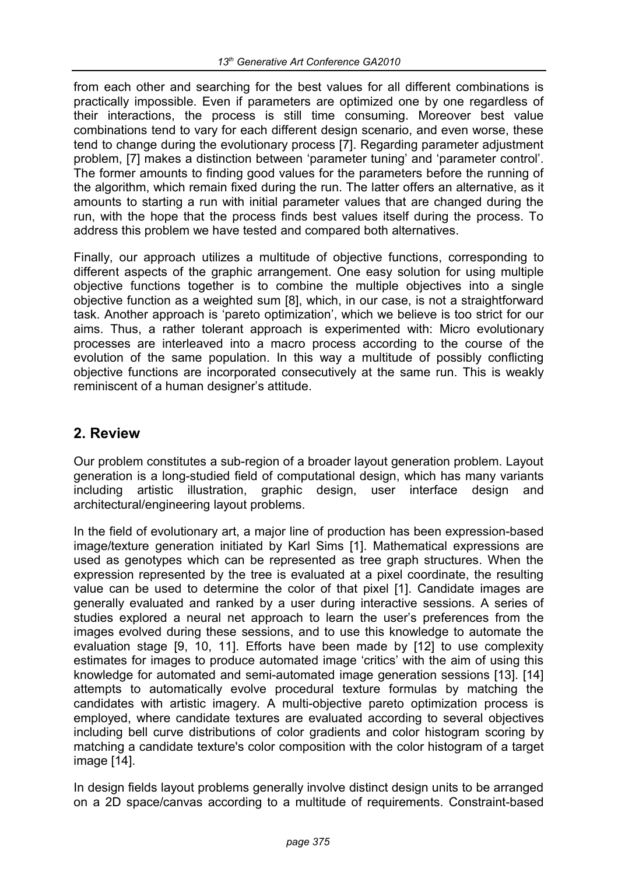from each other and searching for the best values for all different combinations is practically impossible. Even if parameters are optimized one by one regardless of their interactions, the process is still time consuming. Moreover best value combinations tend to vary for each different design scenario, and even worse, these tend to change during the evolutionary process [7]. Regarding parameter adjustment problem, [7] makes a distinction between 'parameter tuning' and 'parameter control'. The former amounts to finding good values for the parameters before the running of the algorithm, which remain fixed during the run. The latter offers an alternative, as it amounts to starting a run with initial parameter values that are changed during the run, with the hope that the process finds best values itself during the process. To address this problem we have tested and compared both alternatives.

Finally, our approach utilizes a multitude of objective functions, corresponding to different aspects of the graphic arrangement. One easy solution for using multiple objective functions together is to combine the multiple objectives into a single objective function as a weighted sum [8], which, in our case, is not a straightforward task. Another approach is 'pareto optimization', which we believe is too strict for our aims. Thus, a rather tolerant approach is experimented with: Micro evolutionary processes are interleaved into a macro process according to the course of the evolution of the same population. In this way a multitude of possibly conflicting objective functions are incorporated consecutively at the same run. This is weakly reminiscent of a human designer's attitude.

# **2. Review**

Our problem constitutes a sub-region of a broader layout generation problem. Layout generation is a long-studied field of computational design, which has many variants including artistic illustration, graphic design, user interface design and architectural/engineering layout problems.

In the field of evolutionary art, a major line of production has been expression-based image/texture generation initiated by Karl Sims [1]. Mathematical expressions are used as genotypes which can be represented as tree graph structures. When the expression represented by the tree is evaluated at a pixel coordinate, the resulting value can be used to determine the color of that pixel [1]. Candidate images are generally evaluated and ranked by a user during interactive sessions. A series of studies explored a neural net approach to learn the user's preferences from the images evolved during these sessions, and to use this knowledge to automate the evaluation stage [9, 10, 11]. Efforts have been made by [12] to use complexity estimates for images to produce automated image 'critics' with the aim of using this knowledge for automated and semi-automated image generation sessions [13]. [14] attempts to automatically evolve procedural texture formulas by matching the candidates with artistic imagery. A multi-objective pareto optimization process is employed, where candidate textures are evaluated according to several objectives including bell curve distributions of color gradients and color histogram scoring by matching a candidate texture's color composition with the color histogram of a target image [14].

In design fields layout problems generally involve distinct design units to be arranged on a 2D space/canvas according to a multitude of requirements. Constraint-based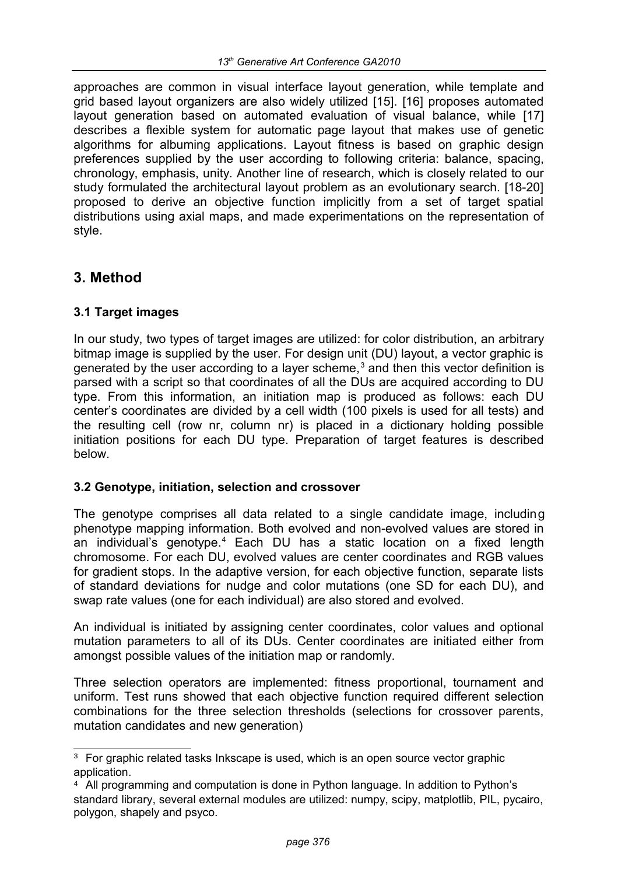approaches are common in visual interface layout generation, while template and grid based layout organizers are also widely utilized [15]. [16] proposes automated layout generation based on automated evaluation of visual balance, while [17] describes a flexible system for automatic page layout that makes use of genetic algorithms for albuming applications. Layout fitness is based on graphic design preferences supplied by the user according to following criteria: balance, spacing, chronology, emphasis, unity. Another line of research, which is closely related to our study formulated the architectural layout problem as an evolutionary search. [18-20] proposed to derive an objective function implicitly from a set of target spatial distributions using axial maps, and made experimentations on the representation of style.

# **3. Method**

### **3.1 Target images**

In our study, two types of target images are utilized: for color distribution, an arbitrary bitmap image is supplied by the user. For design unit (DU) layout, a vector graphic is generated by the user according to a layer scheme,<sup>[3](#page-4-0)</sup> and then this vector definition is parsed with a script so that coordinates of all the DUs are acquired according to DU type. From this information, an initiation map is produced as follows: each DU center's coordinates are divided by a cell width (100 pixels is used for all tests) and the resulting cell (row nr, column nr) is placed in a dictionary holding possible initiation positions for each DU type. Preparation of target features is described below.

### **3.2 Genotype, initiation, selection and crossover**

The genotype comprises all data related to a single candidate image, including phenotype mapping information. Both evolved and non-evolved values are stored in an individual's genotype.<sup>[4](#page-4-1)</sup> Each DU has a static location on a fixed length chromosome. For each DU, evolved values are center coordinates and RGB values for gradient stops. In the adaptive version, for each objective function, separate lists of standard deviations for nudge and color mutations (one SD for each DU), and swap rate values (one for each individual) are also stored and evolved.

An individual is initiated by assigning center coordinates, color values and optional mutation parameters to all of its DUs. Center coordinates are initiated either from amongst possible values of the initiation map or randomly.

Three selection operators are implemented: fitness proportional, tournament and uniform. Test runs showed that each objective function required different selection combinations for the three selection thresholds (selections for crossover parents, mutation candidates and new generation)

<span id="page-4-0"></span><sup>&</sup>lt;sup>3</sup> For graphic related tasks Inkscape is used, which is an open source vector graphic application.

<span id="page-4-1"></span><sup>&</sup>lt;sup>4</sup> All programming and computation is done in Python language. In addition to Python's standard library, several external modules are utilized: numpy, scipy, matplotlib, PIL, pycairo, polygon, shapely and psyco.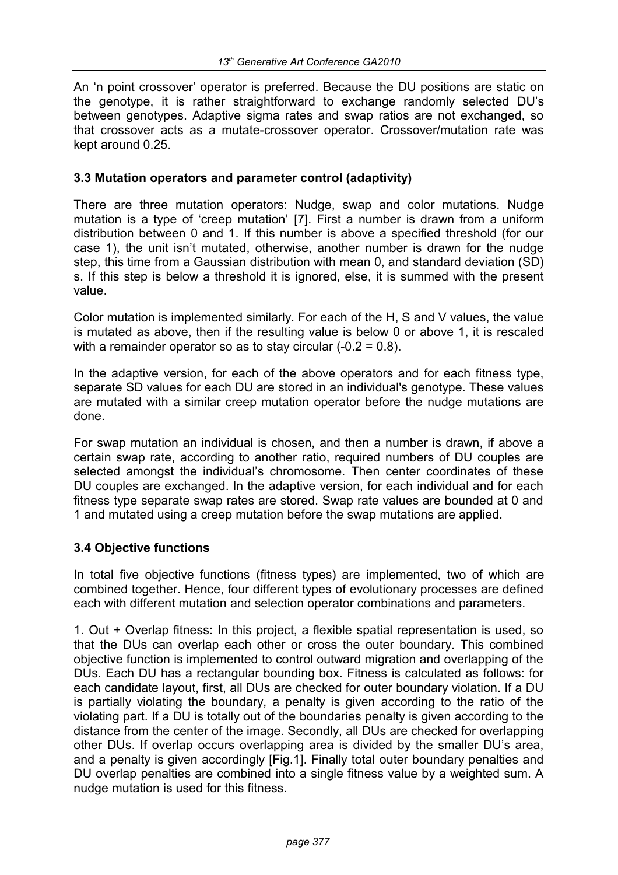An 'n point crossover' operator is preferred. Because the DU positions are static on the genotype, it is rather straightforward to exchange randomly selected DU's between genotypes. Adaptive sigma rates and swap ratios are not exchanged, so that crossover acts as a mutate-crossover operator. Crossover/mutation rate was kept around 0.25.

### **3.3 Mutation operators and parameter control (adaptivity)**

There are three mutation operators: Nudge, swap and color mutations. Nudge mutation is a type of 'creep mutation' [7]. First a number is drawn from a uniform distribution between 0 and 1. If this number is above a specified threshold (for our case 1), the unit isn't mutated, otherwise, another number is drawn for the nudge step, this time from a Gaussian distribution with mean 0, and standard deviation (SD) s. If this step is below a threshold it is ignored, else, it is summed with the present value.

Color mutation is implemented similarly. For each of the H, S and V values, the value is mutated as above, then if the resulting value is below 0 or above 1, it is rescaled with a remainder operator so as to stay circular (-0.2 = 0.8).

In the adaptive version, for each of the above operators and for each fitness type, separate SD values for each DU are stored in an individual's genotype. These values are mutated with a similar creep mutation operator before the nudge mutations are done.

For swap mutation an individual is chosen, and then a number is drawn, if above a certain swap rate, according to another ratio, required numbers of DU couples are selected amongst the individual's chromosome. Then center coordinates of these DU couples are exchanged. In the adaptive version, for each individual and for each fitness type separate swap rates are stored. Swap rate values are bounded at 0 and 1 and mutated using a creep mutation before the swap mutations are applied.

### **3.4 Objective functions**

In total five objective functions (fitness types) are implemented, two of which are combined together. Hence, four different types of evolutionary processes are defined each with different mutation and selection operator combinations and parameters.

1. Out + Overlap fitness: In this project, a flexible spatial representation is used, so that the DUs can overlap each other or cross the outer boundary. This combined objective function is implemented to control outward migration and overlapping of the DUs. Each DU has a rectangular bounding box. Fitness is calculated as follows: for each candidate layout, first, all DUs are checked for outer boundary violation. If a DU is partially violating the boundary, a penalty is given according to the ratio of the violating part. If a DU is totally out of the boundaries penalty is given according to the distance from the center of the image. Secondly, all DUs are checked for overlapping other DUs. If overlap occurs overlapping area is divided by the smaller DU's area, and a penalty is given accordingly [Fig.1]. Finally total outer boundary penalties and DU overlap penalties are combined into a single fitness value by a weighted sum. A nudge mutation is used for this fitness.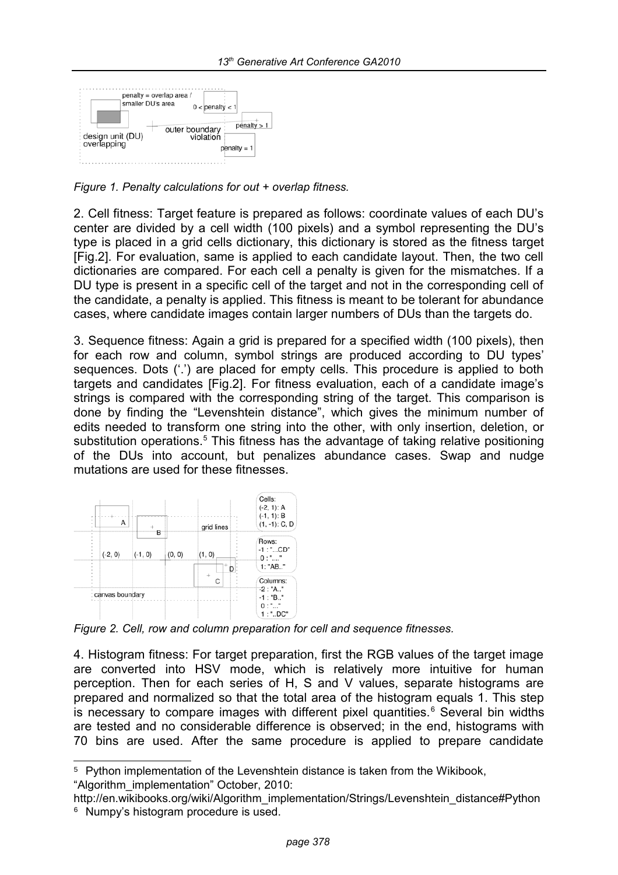

*Figure 1. Penalty calculations for out + overlap fitness.*

2. Cell fitness: Target feature is prepared as follows: coordinate values of each DU's center are divided by a cell width (100 pixels) and a symbol representing the DU's type is placed in a grid cells dictionary, this dictionary is stored as the fitness target [Fig.2]. For evaluation, same is applied to each candidate layout. Then, the two cell dictionaries are compared. For each cell a penalty is given for the mismatches. If a DU type is present in a specific cell of the target and not in the corresponding cell of the candidate, a penalty is applied. This fitness is meant to be tolerant for abundance cases, where candidate images contain larger numbers of DUs than the targets do.

3. Sequence fitness: Again a grid is prepared for a specified width (100 pixels), then for each row and column, symbol strings are produced according to DU types' sequences. Dots ('.') are placed for empty cells. This procedure is applied to both targets and candidates [Fig.2]. For fitness evaluation, each of a candidate image's strings is compared with the corresponding string of the target. This comparison is done by finding the "Levenshtein distance", which gives the minimum number of edits needed to transform one string into the other, with only insertion, deletion, or substitution operations.<sup>[5](#page-6-0)</sup> This fitness has the advantage of taking relative positioning of the DUs into account, but penalizes abundance cases. Swap and nudge mutations are used for these fitnesses.



*Figure 2. Cell, row and column preparation for cell and sequence fitnesses.*

4. Histogram fitness: For target preparation, first the RGB values of the target image are converted into HSV mode, which is relatively more intuitive for human perception. Then for each series of H, S and V values, separate histograms are prepared and normalized so that the total area of the histogram equals 1. This step is necessary to compare images with different pixel quantities. $6$  Several bin widths are tested and no considerable difference is observed; in the end, histograms with 70 bins are used. After the same procedure is applied to prepare candidate

<span id="page-6-0"></span><sup>5</sup> Python implementation of the Levenshtein distance is taken from the Wikibook, "Algorithm\_implementation" October, 2010:

<span id="page-6-1"></span>http://en.wikibooks.org/wiki/Algorithm\_implementation/Strings/Levenshtein\_distance#Python <sup>6</sup> Numpy's histogram procedure is used.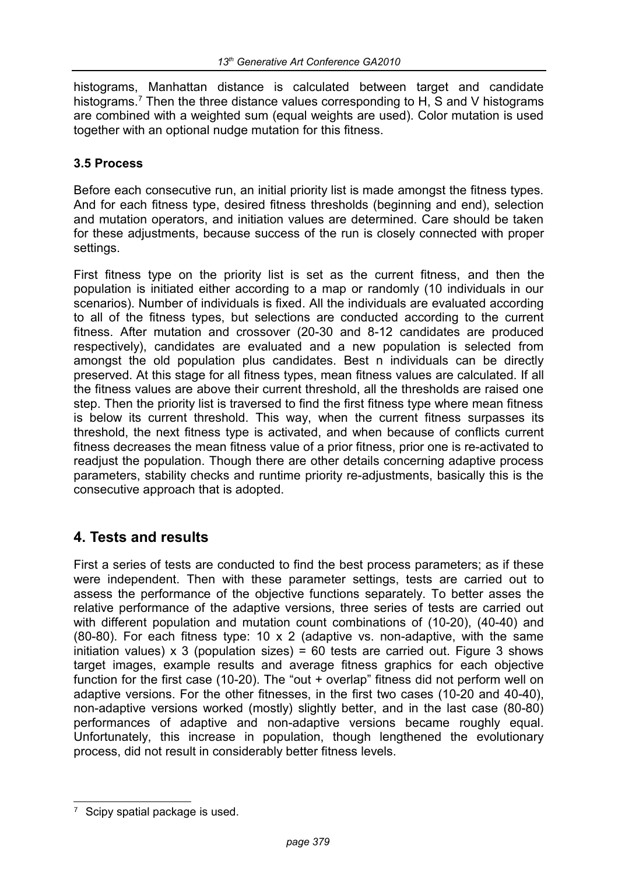histograms. Manhattan distance is calculated between target and candidate histograms.<sup>[7](#page-7-0)</sup> Then the three distance values corresponding to H, S and V histograms are combined with a weighted sum (equal weights are used). Color mutation is used together with an optional nudge mutation for this fitness.

### **3.5 Process**

Before each consecutive run, an initial priority list is made amongst the fitness types. And for each fitness type, desired fitness thresholds (beginning and end), selection and mutation operators, and initiation values are determined. Care should be taken for these adjustments, because success of the run is closely connected with proper settings.

First fitness type on the priority list is set as the current fitness, and then the population is initiated either according to a map or randomly (10 individuals in our scenarios). Number of individuals is fixed. All the individuals are evaluated according to all of the fitness types, but selections are conducted according to the current fitness. After mutation and crossover (20-30 and 8-12 candidates are produced respectively), candidates are evaluated and a new population is selected from amongst the old population plus candidates. Best n individuals can be directly preserved. At this stage for all fitness types, mean fitness values are calculated. If all the fitness values are above their current threshold, all the thresholds are raised one step. Then the priority list is traversed to find the first fitness type where mean fitness is below its current threshold. This way, when the current fitness surpasses its threshold, the next fitness type is activated, and when because of conflicts current fitness decreases the mean fitness value of a prior fitness, prior one is re-activated to readjust the population. Though there are other details concerning adaptive process parameters, stability checks and runtime priority re-adjustments, basically this is the consecutive approach that is adopted.

# **4. Tests and results**

First a series of tests are conducted to find the best process parameters; as if these were independent. Then with these parameter settings, tests are carried out to assess the performance of the objective functions separately. To better asses the relative performance of the adaptive versions, three series of tests are carried out with different population and mutation count combinations of (10-20), (40-40) and (80-80). For each fitness type: 10 x 2 (adaptive vs. non-adaptive, with the same initiation values)  $\times$  3 (population sizes) = 60 tests are carried out. Figure 3 shows target images, example results and average fitness graphics for each objective function for the first case (10-20). The "out + overlap" fitness did not perform well on adaptive versions. For the other fitnesses, in the first two cases (10-20 and 40-40), non-adaptive versions worked (mostly) slightly better, and in the last case (80-80) performances of adaptive and non-adaptive versions became roughly equal. Unfortunately, this increase in population, though lengthened the evolutionary process, did not result in considerably better fitness levels.

<span id="page-7-0"></span><sup>&</sup>lt;sup>7</sup> Scipy spatial package is used.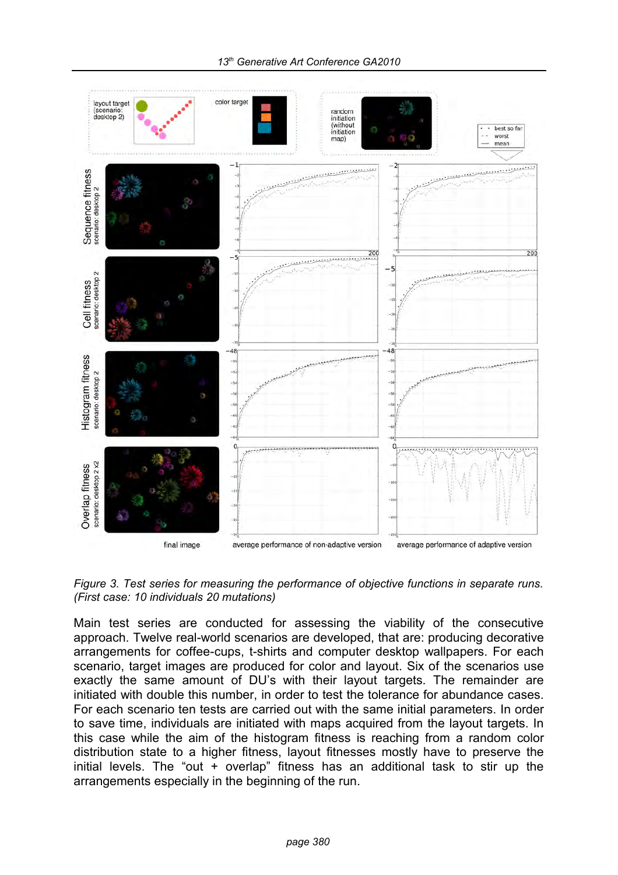

*Figure 3. Test series for measuring the performance of objective functions in separate runs. (First case: 10 individuals 20 mutations)* 

Main test series are conducted for assessing the viability of the consecutive approach. Twelve real-world scenarios are developed, that are: producing decorative arrangements for coffee-cups, t-shirts and computer desktop wallpapers. For each scenario, target images are produced for color and layout. Six of the scenarios use exactly the same amount of DU's with their layout targets. The remainder are initiated with double this number, in order to test the tolerance for abundance cases. For each scenario ten tests are carried out with the same initial parameters. In order to save time, individuals are initiated with maps acquired from the layout targets. In this case while the aim of the histogram fitness is reaching from a random color distribution state to a higher fitness, layout fitnesses mostly have to preserve the initial levels. The "out + overlap" fitness has an additional task to stir up the arrangements especially in the beginning of the run.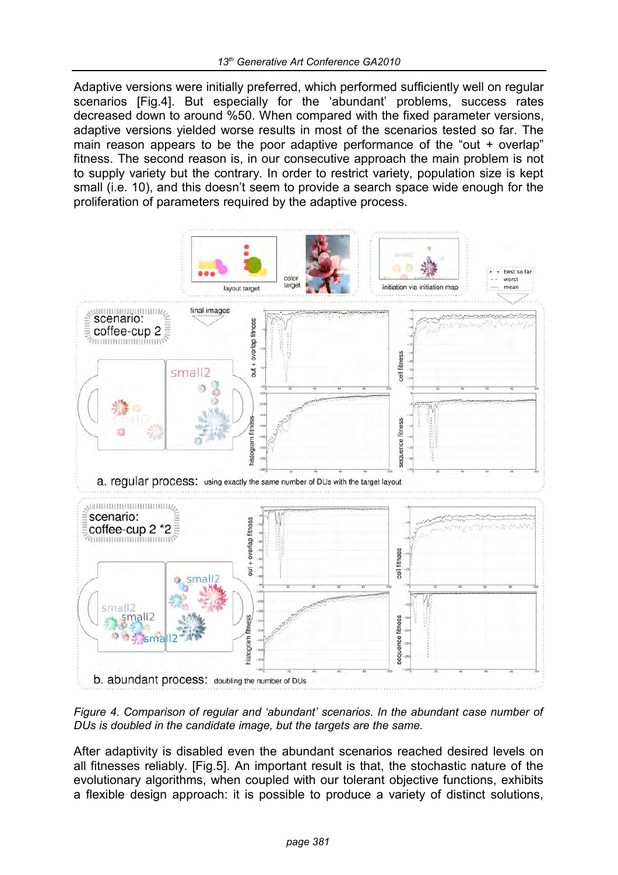Adaptive versions were initially preferred, which performed sufficiently well on regular scenarios [Fig.4]. But especially for the 'abundant' problems, success rates decreased down to around %50. When compared with the fixed parameter versions, adaptive versions yielded worse results in most of the scenarios tested so far. The main reason appears to be the poor adaptive performance of the "out + overlap" fitness. The second reason is, in our consecutive approach the main problem is not to supply variety but the contrary. In order to restrict variety, population size is kept small (i.e. 10), and this doesn't seem to provide a search space wide enough for the proliferation of parameters required by the adaptive process.



*Figure 4. Comparison of regular and 'abundant' scenarios. In the abundant case number of DUs is doubled in the candidate image, but the targets are the same.*

After adaptivity is disabled even the abundant scenarios reached desired levels on all fitnesses reliably. [Fig.5]. An important result is that, the stochastic nature of the evolutionary algorithms, when coupled with our tolerant objective functions, exhibits a flexible design approach: it is possible to produce a variety of distinct solutions,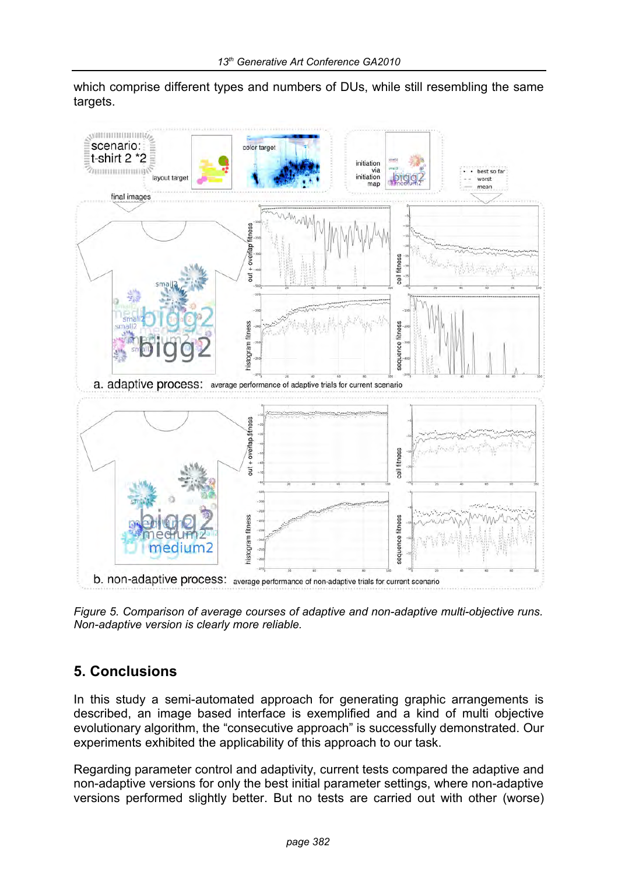which comprise different types and numbers of DUs, while still resembling the same targets.



*Figure 5. Comparison of average courses of adaptive and non-adaptive multi-objective runs. Non-adaptive version is clearly more reliable.*

# **5. Conclusions**

In this study a semi-automated approach for generating graphic arrangements is described, an image based interface is exemplified and a kind of multi objective evolutionary algorithm, the "consecutive approach" is successfully demonstrated. Our experiments exhibited the applicability of this approach to our task.

Regarding parameter control and adaptivity, current tests compared the adaptive and non-adaptive versions for only the best initial parameter settings, where non-adaptive versions performed slightly better. But no tests are carried out with other (worse)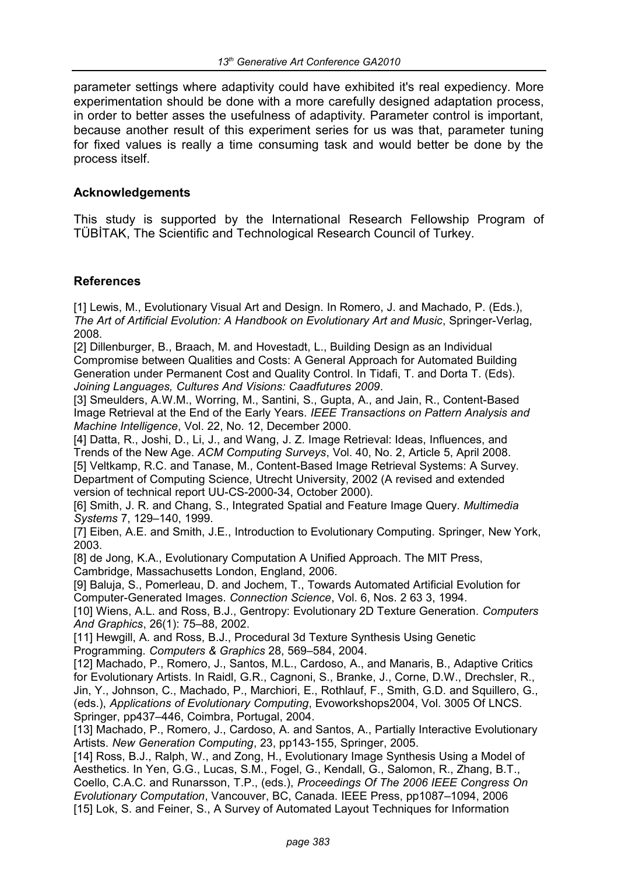parameter settings where adaptivity could have exhibited it's real expediency. More experimentation should be done with a more carefully designed adaptation process, in order to better asses the usefulness of adaptivity. Parameter control is important, because another result of this experiment series for us was that, parameter tuning for fixed values is really a time consuming task and would better be done by the process itself.

#### **Acknowledgements**

This study is supported by the International Research Fellowship Program of TÜBİTAK, The Scientific and Technological Research Council of Turkey.

#### **References**

[1] Lewis, M., Evolutionary Visual Art and Design. In Romero, J. and Machado, P. (Eds.), *The Art of Artificial Evolution: A Handbook on Evolutionary Art and Music*, Springer-Verlag, 2008.

[2] Dillenburger, B., Braach, M. and Hovestadt, L., Building Design as an Individual Compromise between Qualities and Costs: A General Approach for Automated Building Generation under Permanent Cost and Quality Control. In Tidafi, T. and Dorta T. (Eds). *Joining Languages, Cultures And Visions: Caadfutures 2009*.

[3] Smeulders, A.W.M., Worring, M., Santini, S., Gupta, A., and Jain, R., Content-Based Image Retrieval at the End of the Early Years. *IEEE Transactions on Pattern Analysis and Machine Intelligence*, Vol. 22, No. 12, December 2000.

[4] Datta, R., Joshi, D., Li, J., and Wang, J. Z. Image Retrieval: Ideas, Influences, and Trends of the New Age. *ACM Computing Surveys*, Vol. 40, No. 2, Article 5, April 2008. [5] Veltkamp, R.C. and Tanase, M., Content-Based Image Retrieval Systems: A Survey. Department of Computing Science, Utrecht University, 2002 (A revised and extended version of technical report UU-CS-2000-34, October 2000).

[6] Smith, J. R. and Chang, S., Integrated Spatial and Feature Image Query. *Multimedia Systems* 7, 129–140, 1999.

[7] Eiben, A.E. and Smith, J.E., Introduction to Evolutionary Computing. Springer, New York, 2003.

[8] de Jong, K.A., Evolutionary Computation A Unified Approach. The MIT Press, Cambridge, Massachusetts London, England, 2006.

[9] Baluja, S., Pomerleau, D. and Jochem, T., Towards Automated Artificial Evolution for Computer-Generated Images. *Connection Science*, Vol. 6, Nos. 2 63 3, 1994.

[10] Wiens, A.L. and Ross, B.J., Gentropy: Evolutionary 2D Texture Generation. *Computers And Graphics*, 26(1): 75–88, 2002.

[11] Hewgill, A. and Ross, B.J., Procedural 3d Texture Synthesis Using Genetic Programming. *Computers & Graphics* 28, 569–584, 2004.

[12] Machado, P., Romero, J., Santos, M.L., Cardoso, A., and Manaris, B., Adaptive Critics for Evolutionary Artists. In Raidl, G.R., Cagnoni, S., Branke, J., Corne, D.W., Drechsler, R., Jin, Y., Johnson, C., Machado, P., Marchiori, E., Rothlauf, F., Smith, G.D. and Squillero, G., (eds.), *Applications of Evolutionary Computing*, Evoworkshops2004, Vol. 3005 Of LNCS. Springer, pp437–446, Coimbra, Portugal, 2004.

[13] Machado, P., Romero, J., Cardoso, A. and Santos, A., Partially Interactive Evolutionary Artists. *New Generation Computing*, 23, pp143-155, Springer, 2005.

[14] Ross, B.J., Ralph, W., and Zong, H., Evolutionary Image Synthesis Using a Model of Aesthetics. In Yen, G.G., Lucas, S.M., Fogel, G., Kendall, G., Salomon, R., Zhang, B.T., Coello, C.A.C. and Runarsson, T.P., (eds.), *Proceedings Of The 2006 IEEE Congress On Evolutionary Computation*, Vancouver, BC, Canada. IEEE Press, pp1087–1094, 2006 [15] Lok, S. and Feiner, S., A Survey of Automated Layout Techniques for Information